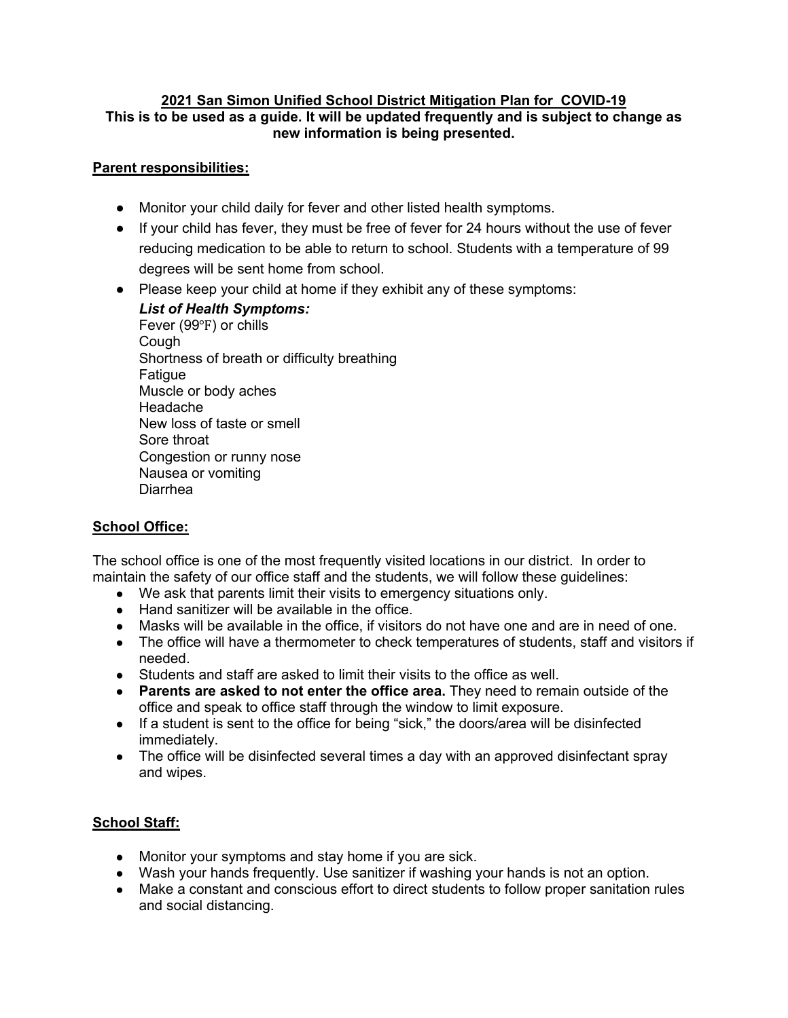#### **2021 San Simon Unified School District Mitigation Plan for COVID-19 This is to be used as a guide. It will be updated frequently and is subject to change as new information is being presented.**

## **Parent responsibilities:**

- Monitor your child daily for fever and other listed health symptoms.
- If your child has fever, they must be free of fever for 24 hours without the use of fever reducing medication to be able to return to school. Students with a temperature of 99 degrees will be sent home from school.
- Please keep your child at home if they exhibit any of these symptoms:
	- *List of Health Symptoms:* Fever (99℉) or chills Cough Shortness of breath or difficulty breathing Fatigue Muscle or body aches Headache New loss of taste or smell Sore throat Congestion or runny nose Nausea or vomiting Diarrhea

# **School Office:**

The school office is one of the most frequently visited locations in our district. In order to maintain the safety of our office staff and the students, we will follow these guidelines:

- We ask that parents limit their visits to emergency situations only.
- Hand sanitizer will be available in the office.
- Masks will be available in the office, if visitors do not have one and are in need of one.
- The office will have a thermometer to check temperatures of students, staff and visitors if needed.
- Students and staff are asked to limit their visits to the office as well.
- **Parents are asked to not enter the office area.** They need to remain outside of the office and speak to office staff through the window to limit exposure.
- If a student is sent to the office for being "sick," the doors/area will be disinfected immediately.
- The office will be disinfected several times a day with an approved disinfectant spray and wipes.

# **School Staff:**

- Monitor your symptoms and stay home if you are sick.
- Wash your hands frequently. Use sanitizer if washing your hands is not an option.
- Make a constant and conscious effort to direct students to follow proper sanitation rules and social distancing.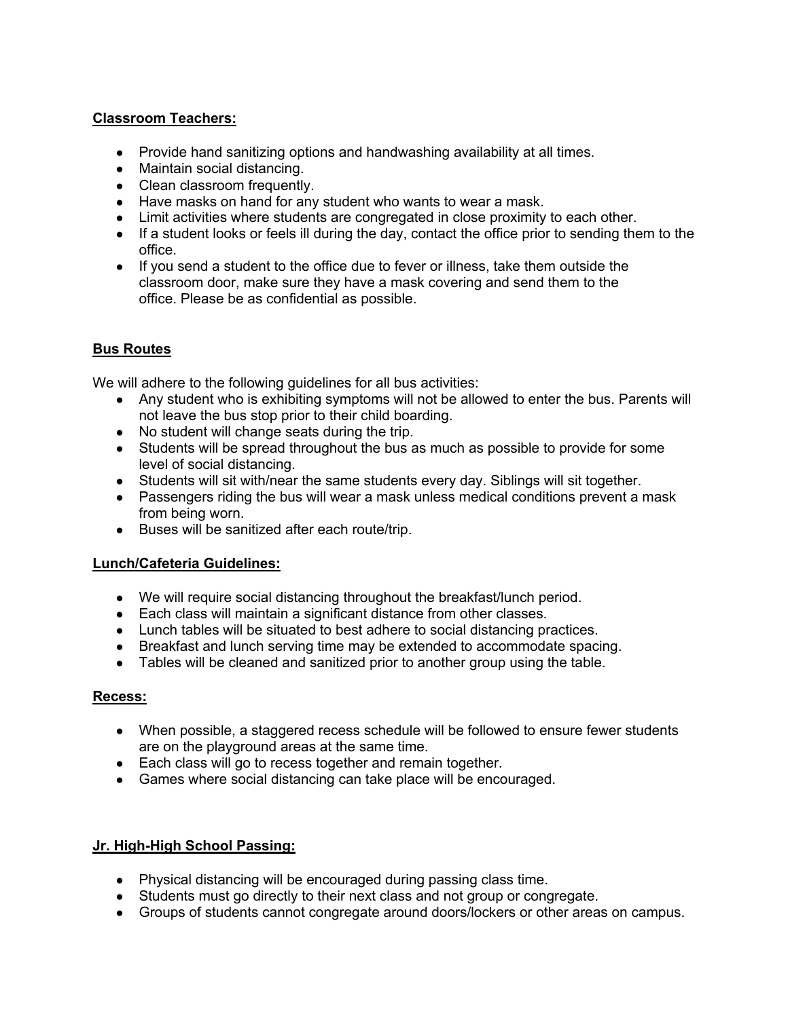## **Classroom Teachers:**

- Provide hand sanitizing options and handwashing availability at all times.
- Maintain social distancing.
- Clean classroom frequently.
- Have masks on hand for any student who wants to wear a mask.
- Limit activities where students are congregated in close proximity to each other.
- If a student looks or feels ill during the day, contact the office prior to sending them to the office.
- If you send a student to the office due to fever or illness, take them outside the classroom door, make sure they have a mask covering and send them to the office. Please be as confidential as possible.

## **Bus Routes**

We will adhere to the following guidelines for all bus activities:

- Any student who is exhibiting symptoms will not be allowed to enter the bus. Parents will not leave the bus stop prior to their child boarding.
- No student will change seats during the trip.
- Students will be spread throughout the bus as much as possible to provide for some level of social distancing.
- Students will sit with/near the same students every day. Siblings will sit together.
- Passengers riding the bus will wear a mask unless medical conditions prevent a mask from being worn.
- Buses will be sanitized after each route/trip.

## **Lunch/Cafeteria Guidelines:**

- We will require social distancing throughout the breakfast/lunch period.
- Each class will maintain a significant distance from other classes.
- Lunch tables will be situated to best adhere to social distancing practices.
- Breakfast and lunch serving time may be extended to accommodate spacing.
- Tables will be cleaned and sanitized prior to another group using the table.

## **Recess:**

- When possible, a staggered recess schedule will be followed to ensure fewer students are on the playground areas at the same time.
- Each class will go to recess together and remain together.
- Games where social distancing can take place will be encouraged.

## **Jr. High-High School Passing:**

- Physical distancing will be encouraged during passing class time.
- Students must go directly to their next class and not group or congregate.
- Groups of students cannot congregate around doors/lockers or other areas on campus.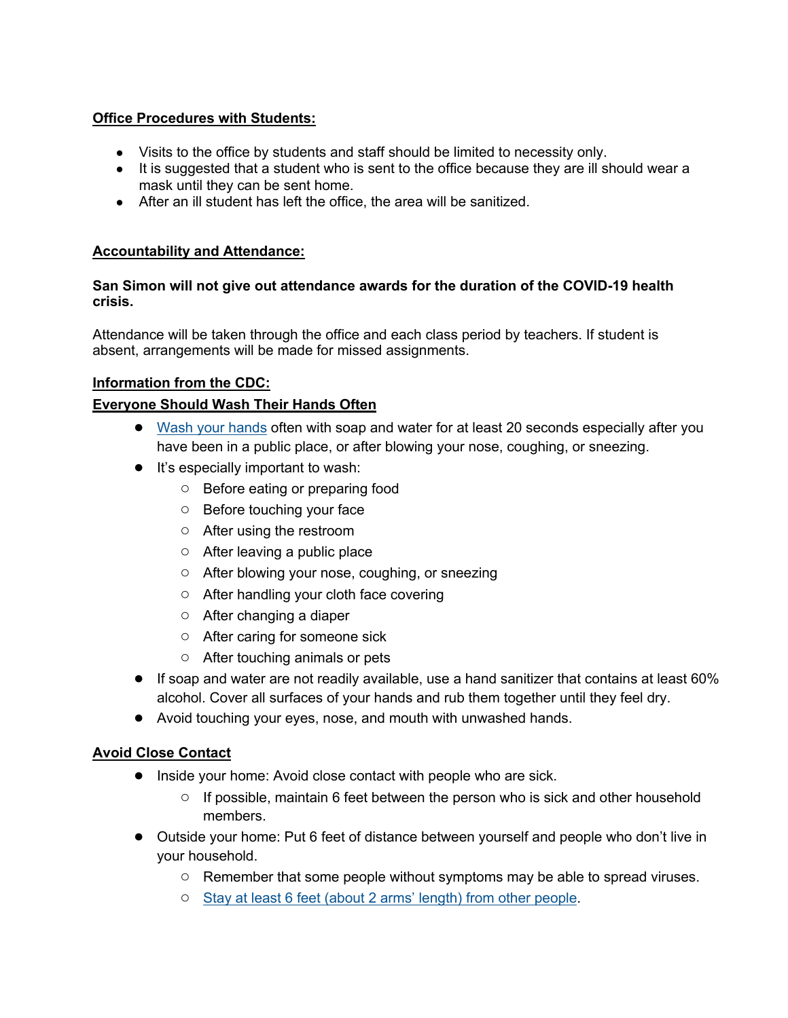## **Office Procedures with Students:**

- Visits to the office by students and staff should be limited to necessity only.
- It is suggested that a student who is sent to the office because they are ill should wear a mask until they can be sent home.
- After an ill student has left the office, the area will be sanitized.

## **Accountability and Attendance:**

## **San Simon will not give out attendance awards for the duration of the COVID-19 health crisis.**

Attendance will be taken through the office and each class period by teachers. If student is absent, arrangements will be made for missed assignments.

## **Information from the CDC:**

## **Everyone Should Wash Their Hands Often**

- Wash your hands often with soap and water for at least 20 seconds especially after you have been in a public place, or after blowing your nose, coughing, or sneezing.
- It's especially important to wash:
	- Before eating or preparing food
	- Before touching your face
	- After using the restroom
	- After leaving a public place
	- After blowing your nose, coughing, or sneezing
	- After handling your cloth face covering
	- After changing a diaper
	- After caring for someone sick
	- After touching animals or pets
- $\bullet$  If soap and water are not readily available, use a hand sanitizer that contains at least 60% alcohol. Cover all surfaces of your hands and rub them together until they feel dry.
- Avoid touching your eyes, nose, and mouth with unwashed hands.

## **Avoid Close Contact**

- Inside your home: Avoid close contact with people who are sick.
	- $\circ$  If possible, maintain 6 feet between the person who is sick and other household members.
- Outside your home: Put 6 feet of distance between yourself and people who don't live in your household.
	- Remember that some people without symptoms may be able to spread viruses.
	- Stay at least 6 feet (about 2 arms' length) from other people.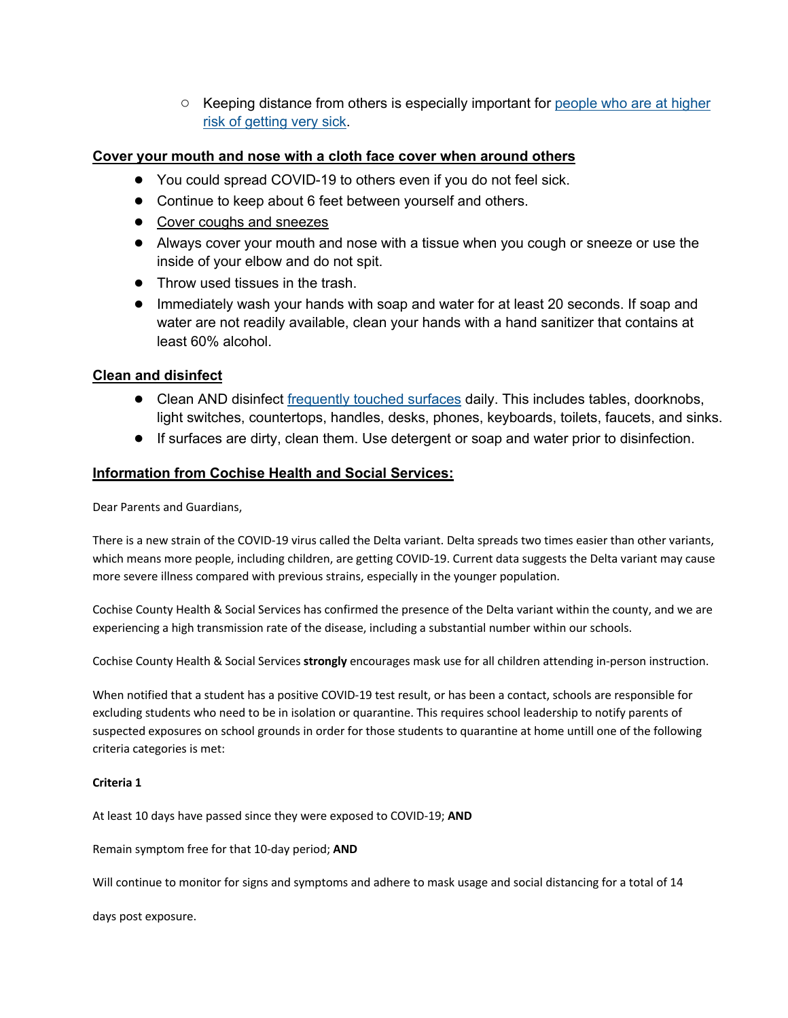○ Keeping distance from others is especially important for people who are at higher risk of getting very sick.

## **Cover your mouth and nose with a cloth face cover when around others**

- You could spread COVID-19 to others even if you do not feel sick.
- Continue to keep about 6 feet between yourself and others.
- Cover coughs and sneezes
- Always cover your mouth and nose with a tissue when you cough or sneeze or use the inside of your elbow and do not spit.
- Throw used tissues in the trash.
- Immediately wash your hands with soap and water for at least 20 seconds. If soap and water are not readily available, clean your hands with a hand sanitizer that contains at least 60% alcohol.

#### **Clean and disinfect**

- Clean AND disinfect frequently touched surfaces daily. This includes tables, doorknobs, light switches, countertops, handles, desks, phones, keyboards, toilets, faucets, and sinks.
- If surfaces are dirty, clean them. Use detergent or soap and water prior to disinfection.

## **Information from Cochise Health and Social Services:**

Dear Parents and Guardians,

There is a new strain of the COVID-19 virus called the Delta variant. Delta spreads two times easier than other variants, which means more people, including children, are getting COVID-19. Current data suggests the Delta variant may cause more severe illness compared with previous strains, especially in the younger population.

Cochise County Health & Social Services has confirmed the presence of the Delta variant within the county, and we are experiencing a high transmission rate of the disease, including a substantial number within our schools.

Cochise County Health & Social Services **strongly** encourages mask use for all children attending in-person instruction.

When notified that a student has a positive COVID-19 test result, or has been a contact, schools are responsible for excluding students who need to be in isolation or quarantine. This requires school leadership to notify parents of suspected exposures on school grounds in order for those students to quarantine at home untill one of the following criteria categories is met:

#### **Criteria 1**

At least 10 days have passed since they were exposed to COVID-19; **AND**

Remain symptom free for that 10-day period; **AND**

Will continue to monitor for signs and symptoms and adhere to mask usage and social distancing for a total of 14

days post exposure.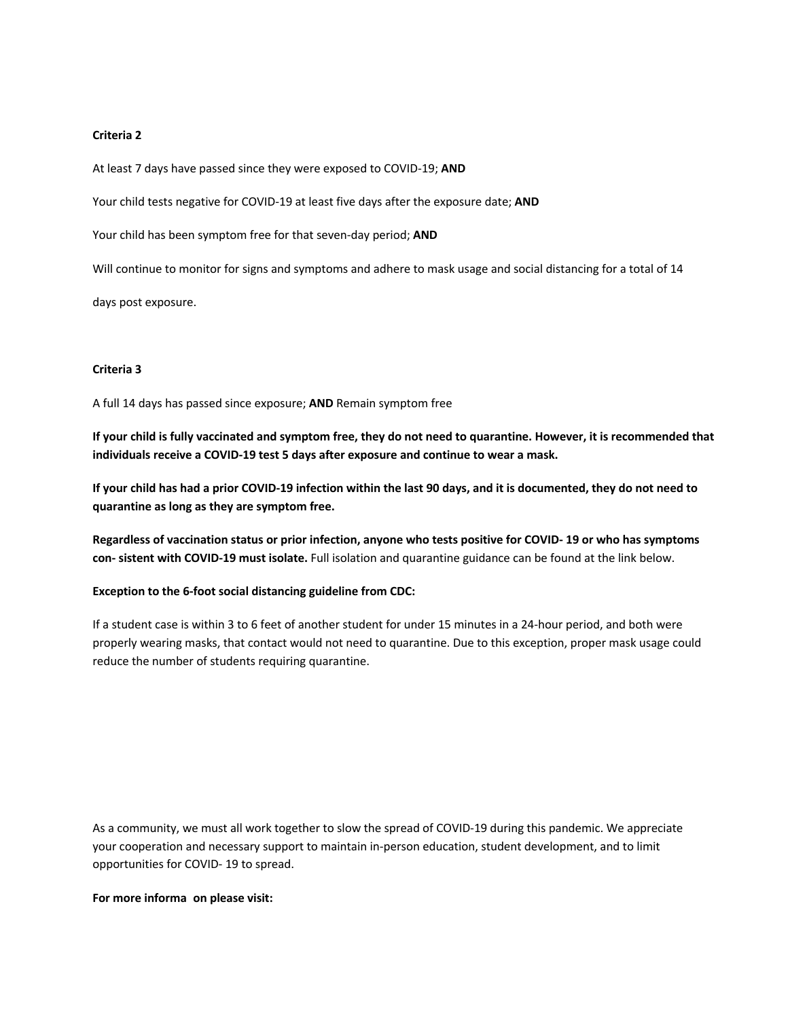#### **Criteria 2**

At least 7 days have passed since they were exposed to COVID-19; **AND**

Your child tests negative for COVID-19 at least five days after the exposure date; **AND**

Your child has been symptom free for that seven-day period; **AND**

Will continue to monitor for signs and symptoms and adhere to mask usage and social distancing for a total of 14

days post exposure.

#### **Criteria 3**

A full 14 days has passed since exposure; **AND** Remain symptom free

**If your child is fully vaccinated and symptom free, they do not need to quarantine. However, it is recommended that individuals receive a COVID-19 test 5 days after exposure and continue to wear a mask.**

**If your child has had a prior COVID-19 infection within the last 90 days, and it is documented, they do not need to quarantine as long as they are symptom free.**

**Regardless of vaccination status or prior infection, anyone who tests positive for COVID- 19 or who has symptoms con- sistent with COVID-19 must isolate.** Full isolation and quarantine guidance can be found at the link below.

**Exception to the 6-foot social distancing guideline from CDC:**

If a student case is within 3 to 6 feet of another student for under 15 minutes in a 24-hour period, and both were properly wearing masks, that contact would not need to quarantine. Due to this exception, proper mask usage could reduce the number of students requiring quarantine.

As a community, we must all work together to slow the spread of COVID-19 during this pandemic. We appreciate your cooperation and necessary support to maintain in-person education, student development, and to limit opportunities for COVID- 19 to spread.

#### **For more informaon please visit:**